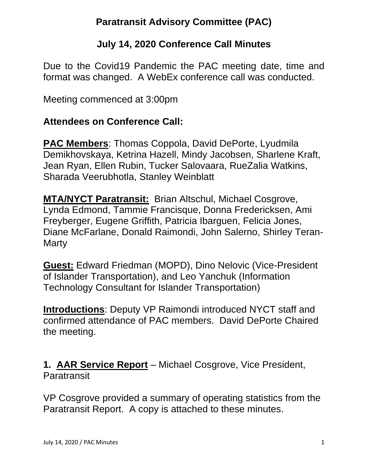# **Paratransit Advisory Committee (PAC)**

#### **July 14, 2020 Conference Call Minutes**

Due to the Covid19 Pandemic the PAC meeting date, time and format was changed. A WebEx conference call was conducted.

Meeting commenced at 3:00pm

#### **Attendees on Conference Call:**

**PAC Members**: Thomas Coppola, David DePorte, Lyudmila Demikhovskaya, Ketrina Hazell, Mindy Jacobsen, Sharlene Kraft, Jean Ryan, Ellen Rubin, Tucker Salovaara, RueZalia Watkins, Sharada Veerubhotla, Stanley Weinblatt

**MTA/NYCT Paratransit:** Brian Altschul, Michael Cosgrove, Lynda Edmond, Tammie Francisque, Donna Fredericksen, Ami Freyberger, Eugene Griffith, Patricia Ibarguen, Felicia Jones, Diane McFarlane, Donald Raimondi, John Salerno, Shirley Teran-**Marty** 

**Guest:** Edward Friedman (MOPD), Dino Nelovic (Vice-President of Islander Transportation), and Leo Yanchuk (Information Technology Consultant for Islander Transportation)

**Introductions**: Deputy VP Raimondi introduced NYCT staff and confirmed attendance of PAC members. David DePorte Chaired the meeting.

**1. AAR Service Report** – Michael Cosgrove, Vice President, Paratransit

VP Cosgrove provided a summary of operating statistics from the Paratransit Report. A copy is attached to these minutes.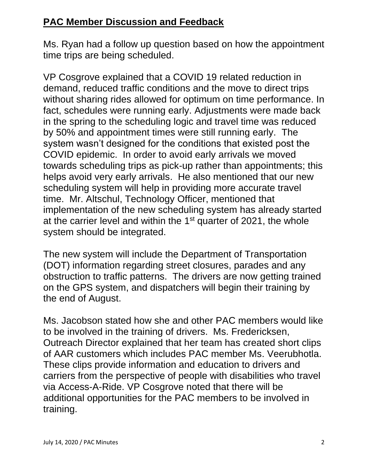### **PAC Member Discussion and Feedback**

Ms. Ryan had a follow up question based on how the appointment time trips are being scheduled.

VP Cosgrove explained that a COVID 19 related reduction in demand, reduced traffic conditions and the move to direct trips without sharing rides allowed for optimum on time performance. In fact, schedules were running early. Adjustments were made back in the spring to the scheduling logic and travel time was reduced by 50% and appointment times were still running early. The system wasn't designed for the conditions that existed post the COVID epidemic. In order to avoid early arrivals we moved towards scheduling trips as pick-up rather than appointments; this helps avoid very early arrivals. He also mentioned that our new scheduling system will help in providing more accurate travel time. Mr. Altschul, Technology Officer, mentioned that implementation of the new scheduling system has already started at the carrier level and within the 1<sup>st</sup> quarter of 2021, the whole system should be integrated.

The new system will include the Department of Transportation (DOT) information regarding street closures, parades and any obstruction to traffic patterns. The drivers are now getting trained on the GPS system, and dispatchers will begin their training by the end of August.

Ms. Jacobson stated how she and other PAC members would like to be involved in the training of drivers. Ms. Fredericksen, Outreach Director explained that her team has created short clips of AAR customers which includes PAC member Ms. Veerubhotla. These clips provide information and education to drivers and carriers from the perspective of people with disabilities who travel via Access-A-Ride. VP Cosgrove noted that there will be additional opportunities for the PAC members to be involved in training.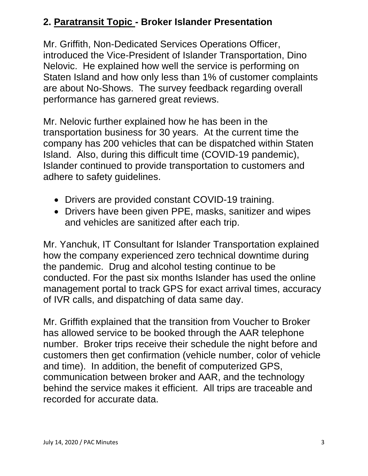# **2. Paratransit Topic - Broker Islander Presentation**

Mr. Griffith, Non-Dedicated Services Operations Officer, introduced the Vice-President of Islander Transportation, Dino Nelovic. He explained how well the service is performing on Staten Island and how only less than 1% of customer complaints are about No-Shows. The survey feedback regarding overall performance has garnered great reviews.

Mr. Nelovic further explained how he has been in the transportation business for 30 years. At the current time the company has 200 vehicles that can be dispatched within Staten Island. Also, during this difficult time (COVID-19 pandemic), Islander continued to provide transportation to customers and adhere to safety guidelines.

- Drivers are provided constant COVID-19 training.
- Drivers have been given PPE, masks, sanitizer and wipes and vehicles are sanitized after each trip.

Mr. Yanchuk, IT Consultant for Islander Transportation explained how the company experienced zero technical downtime during the pandemic. Drug and alcohol testing continue to be conducted. For the past six months Islander has used the online management portal to track GPS for exact arrival times, accuracy of IVR calls, and dispatching of data same day.

Mr. Griffith explained that the transition from Voucher to Broker has allowed service to be booked through the AAR telephone number. Broker trips receive their schedule the night before and customers then get confirmation (vehicle number, color of vehicle and time). In addition, the benefit of computerized GPS, communication between broker and AAR, and the technology behind the service makes it efficient. All trips are traceable and recorded for accurate data.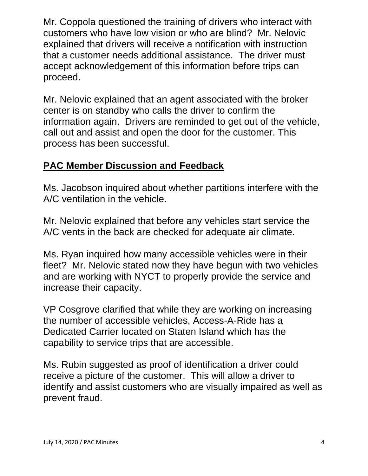Mr. Coppola questioned the training of drivers who interact with customers who have low vision or who are blind? Mr. Nelovic explained that drivers will receive a notification with instruction that a customer needs additional assistance. The driver must accept acknowledgement of this information before trips can proceed.

Mr. Nelovic explained that an agent associated with the broker center is on standby who calls the driver to confirm the information again. Drivers are reminded to get out of the vehicle, call out and assist and open the door for the customer. This process has been successful.

#### **PAC Member Discussion and Feedback**

Ms. Jacobson inquired about whether partitions interfere with the A/C ventilation in the vehicle.

Mr. Nelovic explained that before any vehicles start service the A/C vents in the back are checked for adequate air climate.

Ms. Ryan inquired how many accessible vehicles were in their fleet? Mr. Nelovic stated now they have begun with two vehicles and are working with NYCT to properly provide the service and increase their capacity.

VP Cosgrove clarified that while they are working on increasing the number of accessible vehicles, Access-A-Ride has a Dedicated Carrier located on Staten Island which has the capability to service trips that are accessible.

Ms. Rubin suggested as proof of identification a driver could receive a picture of the customer. This will allow a driver to identify and assist customers who are visually impaired as well as prevent fraud.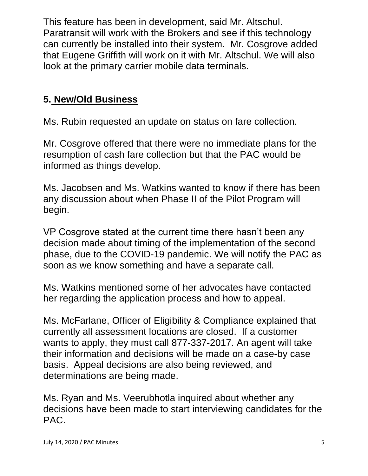This feature has been in development, said Mr. Altschul. Paratransit will work with the Brokers and see if this technology can currently be installed into their system. Mr. Cosgrove added that Eugene Griffith will work on it with Mr. Altschul. We will also look at the primary carrier mobile data terminals.

# **5. New/Old Business**

Ms. Rubin requested an update on status on fare collection.

Mr. Cosgrove offered that there were no immediate plans for the resumption of cash fare collection but that the PAC would be informed as things develop.

Ms. Jacobsen and Ms. Watkins wanted to know if there has been any discussion about when Phase II of the Pilot Program will begin.

VP Cosgrove stated at the current time there hasn't been any decision made about timing of the implementation of the second phase, due to the COVID-19 pandemic. We will notify the PAC as soon as we know something and have a separate call.

Ms. Watkins mentioned some of her advocates have contacted her regarding the application process and how to appeal.

Ms. McFarlane, Officer of Eligibility & Compliance explained that currently all assessment locations are closed. If a customer wants to apply, they must call 877-337-2017. An agent will take their information and decisions will be made on a case-by case basis. Appeal decisions are also being reviewed, and determinations are being made.

Ms. Ryan and Ms. Veerubhotla inquired about whether any decisions have been made to start interviewing candidates for the PAC.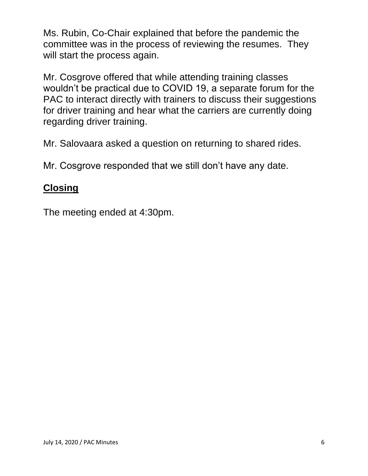Ms. Rubin, Co-Chair explained that before the pandemic the committee was in the process of reviewing the resumes. They will start the process again.

Mr. Cosgrove offered that while attending training classes wouldn't be practical due to COVID 19, a separate forum for the PAC to interact directly with trainers to discuss their suggestions for driver training and hear what the carriers are currently doing regarding driver training.

Mr. Salovaara asked a question on returning to shared rides.

Mr. Cosgrove responded that we still don't have any date.

#### **Closing**

The meeting ended at 4:30pm.